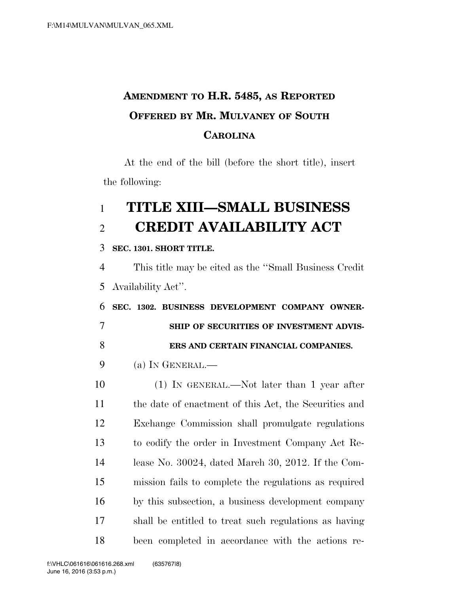## **AMENDMENT TO H.R. 5485, AS REPORTED OFFERED BY MR. MULVANEY OF SOUTH CAROLINA**

At the end of the bill (before the short title), insert the following:

# **TITLE XIII—SMALL BUSINESS CREDIT AVAILABILITY ACT**

**SEC. 1301. SHORT TITLE.** 

 This title may be cited as the ''Small Business Credit Availability Act''.

 **SEC. 1302. BUSINESS DEVELOPMENT COMPANY OWNER- SHIP OF SECURITIES OF INVESTMENT ADVIS-ERS AND CERTAIN FINANCIAL COMPANIES.** 

(a) IN GENERAL.—

 (1) IN GENERAL.—Not later than 1 year after the date of enactment of this Act, the Securities and Exchange Commission shall promulgate regulations to codify the order in Investment Company Act Re- lease No. 30024, dated March 30, 2012. If the Com- mission fails to complete the regulations as required by this subsection, a business development company shall be entitled to treat such regulations as having been completed in accordance with the actions re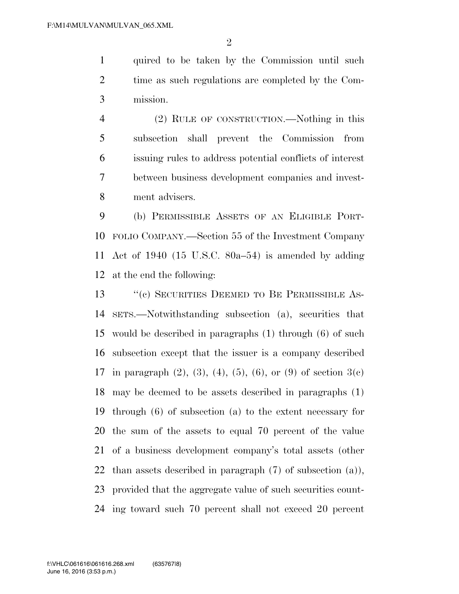quired to be taken by the Commission until such time as such regulations are completed by the Com-mission.

 (2) RULE OF CONSTRUCTION.—Nothing in this subsection shall prevent the Commission from issuing rules to address potential conflicts of interest between business development companies and invest-ment advisers.

 (b) PERMISSIBLE ASSETS OF AN ELIGIBLE PORT- FOLIO COMPANY.—Section 55 of the Investment Company Act of 1940 (15 U.S.C. 80a–54) is amended by adding at the end the following:

13 "(c) SECURITIES DEEMED TO BE PERMISSIBLE AS- SETS.—Notwithstanding subsection (a), securities that would be described in paragraphs (1) through (6) of such subsection except that the issuer is a company described 17 in paragraph  $(2)$ ,  $(3)$ ,  $(4)$ ,  $(5)$ ,  $(6)$ , or  $(9)$  of section  $3(c)$  may be deemed to be assets described in paragraphs (1) through (6) of subsection (a) to the extent necessary for the sum of the assets to equal 70 percent of the value of a business development company's total assets (other than assets described in paragraph (7) of subsection (a)), provided that the aggregate value of such securities count-ing toward such 70 percent shall not exceed 20 percent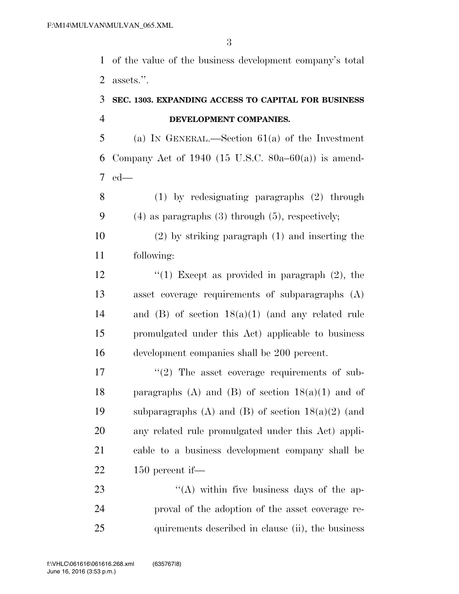of the value of the business development company's total assets.''.

#### **SEC. 1303. EXPANDING ACCESS TO CAPITAL FOR BUSINESS DEVELOPMENT COMPANIES.**

 (a) IN GENERAL.—Section 61(a) of the Investment 6 Company Act of 1940 (15 U.S.C. 80a–60(a)) is amend-ed—

 (1) by redesignating paragraphs (2) through (4) as paragraphs (3) through (5), respectively;

 (2) by striking paragraph (1) and inserting the following:

 $\frac{1}{2}$   $\frac{1}{2}$  Except as provided in paragraph (2), the asset coverage requirements of subparagraphs (A) and (B) of section 18(a)(1) (and any related rule promulgated under this Act) applicable to business development companies shall be 200 percent.

 $\frac{17}{2}$  ''(2) The asset coverage requirements of sub-18 paragraphs (A) and (B) of section  $18(a)(1)$  and of 19 subparagraphs (A) and (B) of section  $18(a)(2)$  (and any related rule promulgated under this Act) appli- cable to a business development company shall be 150 percent if—

23 "'(A) within five business days of the ap- proval of the adoption of the asset coverage re-25 quirements described in clause (ii), the business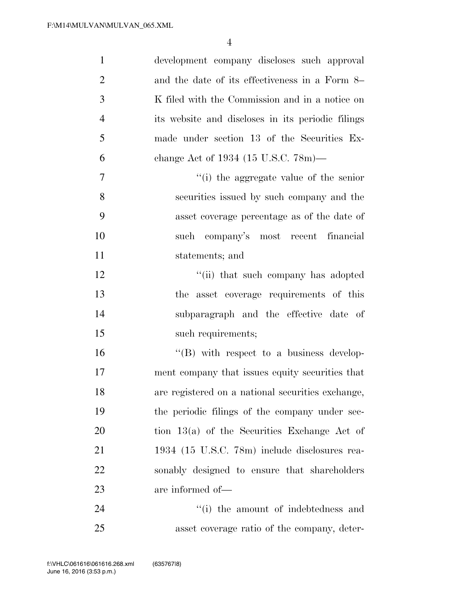| $\mathbf{1}$   | development company discloses such approval       |
|----------------|---------------------------------------------------|
| $\overline{2}$ | and the date of its effectiveness in a Form 8–    |
| 3              | K filed with the Commission and in a notice on    |
| $\overline{4}$ | its website and discloses in its periodic filings |
| 5              | made under section 13 of the Securities Ex-       |
| 6              | change Act of 1934 (15 U.S.C. $78m$ )—            |
| 7              | "(i) the aggregate value of the senior            |
| 8              | securities issued by such company and the         |
| 9              | asset coverage percentage as of the date of       |
| 10             | such company's most recent financial              |
| 11             | statements; and                                   |
| 12             | "(ii) that such company has adopted               |
| 13             | the asset coverage requirements of this           |
| 14             | subparagraph and the effective date of            |
| 15             | such requirements;                                |
| 16             | $\lq\lq (B)$ with respect to a business develop-  |
| 17             | ment company that issues equity securities that   |
| 18             | are registered on a national securities exchange, |
| 19             | the periodic filings of the company under sec-    |
| 20             | tion $13(a)$ of the Securities Exchange Act of    |
| 21             | 1934 (15 U.S.C. 78m) include disclosures rea-     |
| 22             | sonably designed to ensure that shareholders      |
| 23             | are informed of—                                  |
| 24             | "(i) the amount of indebtedness and               |
| 25             | asset coverage ratio of the company, deter-       |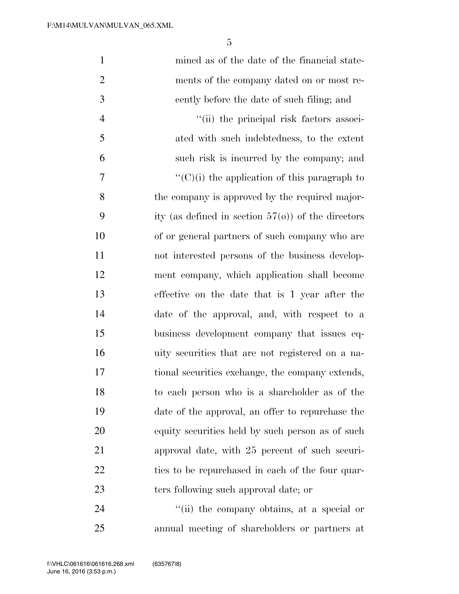| $\mathbf{1}$   | mined as of the date of the financial state-          |
|----------------|-------------------------------------------------------|
| $\overline{2}$ | ments of the company dated on or most re-             |
| 3              | cently before the date of such filing; and            |
| $\overline{4}$ | "(ii) the principal risk factors associ-              |
| 5              | ated with such indebtedness, to the extent            |
| 6              | such risk is incurred by the company; and             |
| 7              | $\lq\lq$ (C)(i) the application of this paragraph to  |
| 8              | the company is approved by the required major-        |
| 9              | ity (as defined in section $57(o)$ ) of the directors |
| 10             | of or general partners of such company who are        |
| 11             | not interested persons of the business develop-       |
| 12             | ment company, which application shall become          |
| 13             | effective on the date that is 1 year after the        |
| 14             | date of the approval, and, with respect to a          |
| 15             | business development company that issues eq-          |
| 16             | uity securities that are not registered on a na-      |
| 17             | tional securities exchange, the company extends,      |
| 18             | to each person who is a shareholder as of the         |
| 19             | date of the approval, an offer to repurchase the      |
| 20             | equity securities held by such person as of such      |
| 21             | approval date, with 25 percent of such securi-        |
| 22             | ties to be repurchased in each of the four quar-      |
| 23             | ters following such approval date; or                 |
| 24             | "(ii) the company obtains, at a special or            |

annual meeting of shareholders or partners at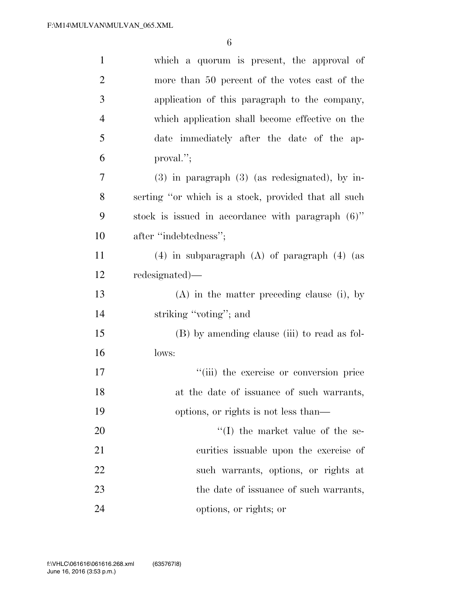| $\mathbf{1}$   | which a quorum is present, the approval of           |
|----------------|------------------------------------------------------|
| $\overline{2}$ | more than 50 percent of the votes cast of the        |
| 3              | application of this paragraph to the company,        |
| $\overline{4}$ | which application shall become effective on the      |
| 5              | date immediately after the date of the ap-           |
| 6              | proval.";                                            |
| 7              | $(3)$ in paragraph $(3)$ (as redesignated), by in-   |
| 8              | serting "or which is a stock, provided that all such |
| 9              | stock is issued in accordance with paragraph (6)"    |
| 10             | after "indebtedness";                                |
| 11             | $(4)$ in subparagraph $(A)$ of paragraph $(4)$ (as   |
| 12             | redesignated)—                                       |
| 13             | $(A)$ in the matter preceding clause (i), by         |
| 14             | striking "voting"; and                               |
| 15             | (B) by amending clause (iii) to read as fol-         |
| 16             | lows:                                                |
| 17             | "(iii) the exercise or conversion price              |
| 18             | at the date of issuance of such warrants,            |
| 19             | options, or rights is not less than—                 |
| 20             | $\lq\lq$ (I) the market value of the se-             |
| 21             | curities is suable upon the exercise of              |
| 22             | such warrants, options, or rights at                 |
| 23             | the date of issuance of such warrants,               |
| 24             | options, or rights; or                               |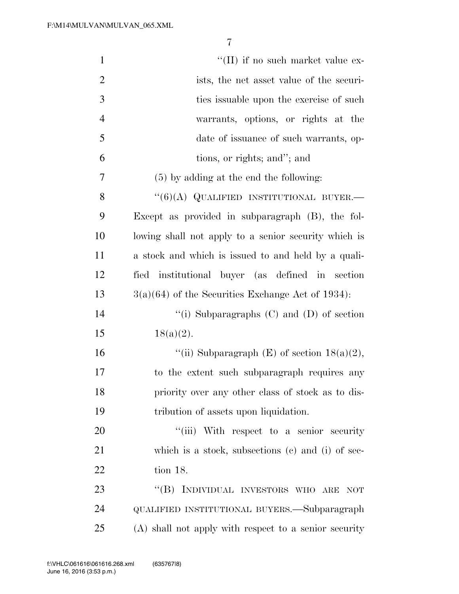| $\mathbf{1}$   | $\lq\lq$ (II) if no such market value ex-                  |
|----------------|------------------------------------------------------------|
| $\overline{2}$ | ists, the net asset value of the securi-                   |
| 3              | ties is suable upon the exercise of such                   |
| $\overline{4}$ | warrants, options, or rights at the                        |
| 5              | date of issuance of such warrants, op-                     |
| 6              | tions, or rights; and"; and                                |
| 7              | $(5)$ by adding at the end the following:                  |
| 8              | $``(6)(A)$ QUALIFIED INSTITUTIONAL BUYER.—                 |
| 9              | Except as provided in subparagraph (B), the fol-           |
| 10             | lowing shall not apply to a senior security which is       |
| 11             | a stock and which is issued to and held by a quali-        |
| 12             | fied institutional buyer (as defined in section            |
| 13             | $3(a)(64)$ of the Securities Exchange Act of 1934):        |
| 14             | "(i) Subparagraphs $(C)$ and $(D)$ of section              |
| 15             | $18(a)(2)$ .                                               |
| 16             | "(ii) Subparagraph $(E)$ of section $18(a)(2)$ ,           |
| 17             | to the extent such subparagraph requires any               |
| 18             | priority over any other class of stock as to dis-          |
| 19             | tribution of assets upon liquidation.                      |
| 20             | "(iii) With respect to a senior security                   |
| 21             | which is a stock, subsections $(c)$ and $(i)$ of sec-      |
| 22             | tion 18.                                                   |
| 23             | INDIVIDUAL INVESTORS WHO ARE<br>$\lq\lq (B)$<br><b>NOT</b> |
| 24             | QUALIFIED INSTITUTIONAL BUYERS.—Subparagraph               |
| 25             | (A) shall not apply with respect to a senior security      |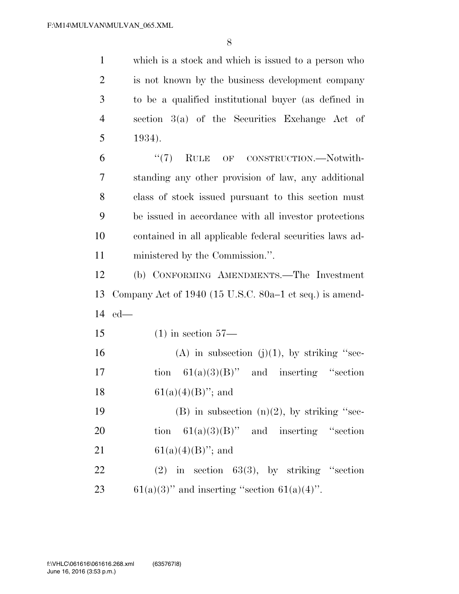which is a stock and which is issued to a person who is not known by the business development company to be a qualified institutional buyer (as defined in section 3(a) of the Securities Exchange Act of 5 1934). ''(7) RULE OF CONSTRUCTION.—Notwith-standing any other provision of law, any additional

 class of stock issued pursuant to this section must be issued in accordance with all investor protections contained in all applicable federal securities laws ad-ministered by the Commission.''.

12 (b) CONFORMING AMENDMENTS.—The Investment 13 Company Act of 1940 (15 U.S.C. 80a–1 et seq.) is amend-14 ed—

15 (1) in section 57—

16 (A) in subsection (j)(1), by striking "sec-17 tion  $61(a)(3)(B)$ " and inserting "section 18 61(a)(4)(B)''; and

19 (B) in subsection  $(n)(2)$ , by striking "sec-20 tion  $61(a)(3)(B)$ " and inserting "section 21 61(a)(4)(B)''; and

22 (2) in section  $63(3)$ , by striking "section 23 61(a)(3)'' and inserting "section  $61(a)(4)$ ".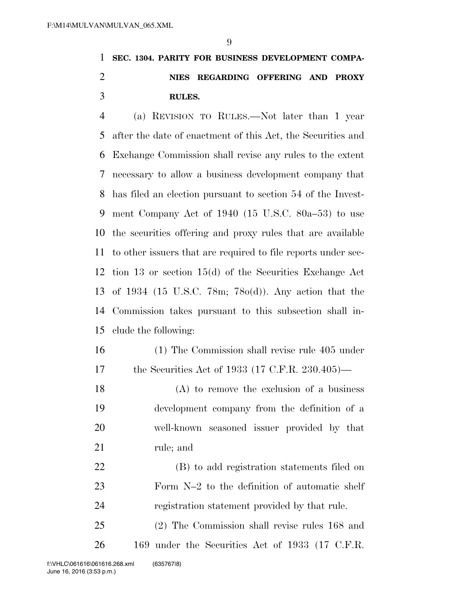### **SEC. 1304. PARITY FOR BUSINESS DEVELOPMENT COMPA- NIES REGARDING OFFERING AND PROXY RULES.**

 (a) REVISION TO RULES.—Not later than 1 year after the date of enactment of this Act, the Securities and Exchange Commission shall revise any rules to the extent necessary to allow a business development company that has filed an election pursuant to section 54 of the Invest- ment Company Act of 1940 (15 U.S.C. 80a–53) to use the securities offering and proxy rules that are available to other issuers that are required to file reports under sec- tion 13 or section 15(d) of the Securities Exchange Act of 1934 (15 U.S.C. 78m; 78o(d)). Any action that the Commission takes pursuant to this subsection shall in-clude the following:

- (1) The Commission shall revise rule 405 under the Securities Act of 1933 (17 C.F.R. 230.405)—
- (A) to remove the exclusion of a business development company from the definition of a well-known seasoned issuer provided by that rule; and

 (B) to add registration statements filed on Form N–2 to the definition of automatic shelf registration statement provided by that rule.

 (2) The Commission shall revise rules 168 and 169 under the Securities Act of 1933 (17 C.F.R.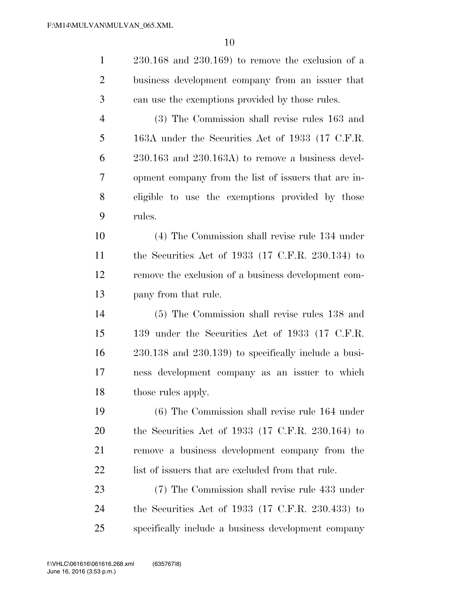| $\mathbf{1}$   | $230.168$ and $230.169$ ) to remove the exclusion of a       |
|----------------|--------------------------------------------------------------|
| $\overline{2}$ | business development company from an issuer that             |
| 3              | can use the exemptions provided by those rules.              |
| $\overline{4}$ | (3) The Commission shall revise rules 163 and                |
| 5              | 163A under the Securities Act of 1933 (17 C.F.R.             |
| 6              | $230.163$ and $230.163A$ ) to remove a business devel-       |
| 7              | opment company from the list of issuers that are in-         |
| 8              | eligible to use the exemptions provided by those             |
| 9              | rules.                                                       |
| 10             | (4) The Commission shall revise rule 134 under               |
| 11             | the Securities Act of $1933$ (17 C.F.R. 230.134) to          |
| 12             | remove the exclusion of a business development com-          |
| 13             | pany from that rule.                                         |
| 14             | (5) The Commission shall revise rules 138 and                |
| 15             | 139 under the Securities Act of 1933 (17 C.F.R.              |
| 16             | $230.138$ and $230.139$ ) to specifically include a busi-    |
| 17             | ness development company as an issuer to which               |
| 18             | those rules apply.                                           |
| 19             | $(6)$ The Commission shall revise rule 164 under             |
| 20             | the Securities Act of 1933 $(17 \text{ C.F.R. } 230.164)$ to |
| 21             | remove a business development company from the               |
| 22             | list of issuers that are excluded from that rule.            |
| 23             | (7) The Commission shall revise rule 433 under               |
|                |                                                              |

 the Securities Act of 1933 (17 C.F.R. 230.433) to specifically include a business development company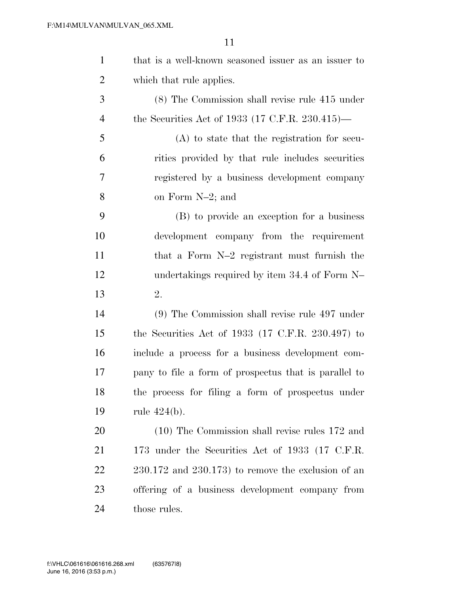| $\mathbf{1}$   | that is a well-known seasoned issuer as an issuer to         |
|----------------|--------------------------------------------------------------|
| $\overline{2}$ | which that rule applies.                                     |
| 3              | (8) The Commission shall revise rule 415 under               |
| $\overline{4}$ | the Securities Act of 1933 (17 C.F.R. 230.415)—              |
| 5              | $(A)$ to state that the registration for secu-               |
| 6              | rities provided by that rule includes securities             |
| 7              | registered by a business development company                 |
| 8              | on Form N-2; and                                             |
| 9              | (B) to provide an exception for a business                   |
| 10             | development company from the requirement                     |
| 11             | that a Form N-2 registrant must furnish the                  |
| 12             | undertakings required by item 34.4 of Form N-                |
| 13             | 2.                                                           |
| 14             | $(9)$ The Commission shall revise rule 497 under             |
| 15             | the Securities Act of 1933 $(17 \text{ C.F.R. } 230.497)$ to |
| 16             | include a process for a business development com-            |
| 17             | pany to file a form of prospectus that is parallel to        |
| 18             | the process for filing a form of prospectus under            |
| 19             | rule $424(b)$ .                                              |
| 20             | (10) The Commission shall revise rules 172 and               |
| 21             | 173 under the Securities Act of 1933 (17 C.F.R.              |
| 22             | $230.172$ and $230.173$ ) to remove the exclusion of an      |
| 23             | offering of a business development company from              |
| 24             | those rules.                                                 |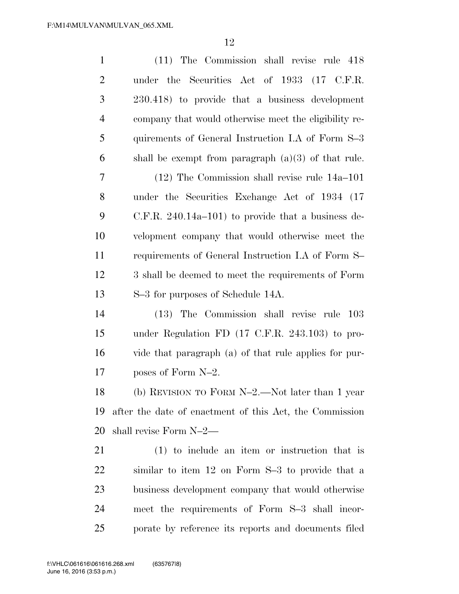| $\mathbf{1}$   | (11) The Commission shall revise rule 418                  |
|----------------|------------------------------------------------------------|
| $\overline{2}$ | under the Securities Act of 1933 (17 C.F.R.                |
| 3              | 230.418) to provide that a business development            |
| $\overline{4}$ | company that would otherwise meet the eligibility re-      |
| 5              | quirements of General Instruction I.A of Form S-3          |
| 6              | shall be exempt from paragraph $(a)(3)$ of that rule.      |
| 7              | $(12)$ The Commission shall revise rule $14a-101$          |
| 8              | under the Securities Exchange Act of 1934 (17              |
| 9              | $C.F.R. 240.14a-101$ to provide that a business de-        |
| 10             | velopment company that would otherwise meet the            |
| 11             | requirements of General Instruction I.A of Form S-         |
| 12             | 3 shall be deemed to meet the requirements of Form         |
| 13             | S-3 for purposes of Schedule 14A.                          |
| 14             | (13) The Commission shall revise rule 103                  |
| 15             | under Regulation FD $(17 \text{ C.F.R. } 243.103)$ to pro- |
| 16             | vide that paragraph (a) of that rule applies for pur-      |
| 17             | poses of Form N-2.                                         |
| 18             | (b) REVISION TO FORM $N-2$ . Not later than 1 year         |
| 19             | after the date of enactment of this Act, the Commission    |
| 20             | shall revise Form N-2—                                     |
| 21             | $(1)$ to include an item or instruction that is            |
| 22             | similar to item 12 on Form S-3 to provide that a           |
| 23             | business development company that would otherwise          |
| 24             | meet the requirements of Form S-3 shall incor-             |
| 25             | porate by reference its reports and documents filed        |